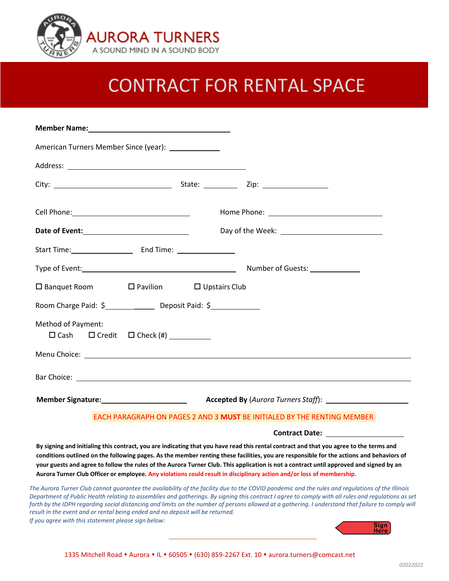

# CONTRACT FOR RENTAL SPACE

| American Turners Member Since (year): ______________              |                                                                                                                                          |
|-------------------------------------------------------------------|------------------------------------------------------------------------------------------------------------------------------------------|
|                                                                   |                                                                                                                                          |
|                                                                   |                                                                                                                                          |
|                                                                   |                                                                                                                                          |
|                                                                   |                                                                                                                                          |
|                                                                   |                                                                                                                                          |
|                                                                   | Type of Event: 1000 million and the UV control of Guests: 2000 million and the UV control of Guests:                                     |
| $\square$ Banquet Room $\square$ Pavilion $\square$ Upstairs Club |                                                                                                                                          |
|                                                                   |                                                                                                                                          |
| Method of Payment:<br>$\Box$ Cash $\Box$ Credit $\Box$ Check (#)  |                                                                                                                                          |
|                                                                   |                                                                                                                                          |
|                                                                   |                                                                                                                                          |
|                                                                   | Member Signature: Member Signature: Manual Accepted By (Aurora Turners Staff):                                                           |
|                                                                   | $\sim$ 0.000 $\sim$ 0.000 $\sim$ 0.000 $\sim$ 0.000 $\sim$ 0.000 $\sim$ 0.000 $\sim$ 0.000 $\sim$ 0.000 $\sim$ 0.000 $\sim$ 0.000 $\sim$ |

#### EACH PARAGRAPH ON PAGES 2 AND 3 **MUST** BE INITIALED BY THE RENTING MEMBER

#### **Contract Date:**

**By signing and initialing this contract, you are indicating that you have read this rental contract and that you agree to the terms and conditions outlined on the following pages. As the member renting these facilities, you are responsible for the actions and behaviors of your guests and agree to follow the rules of the Aurora Turner Club. This application is not a contract until approved and signed by an Aurora Turner Club Officer or employee. Any violations could result in disciplinary action and/or loss of membership.**

*The Aurora Turner Club cannot guarantee the availability of the facility due to the COVID pandemic and the rules and regulations of the Illinois Department of Public Health relating to assemblies and gatherings. By signing this contract I agree to comply with all rules and regulations as set*  forth by the IDPH regarding social distancing and limits on the number of persons allowed at a gathering. I understand that failure to comply will *result in the event and or rental being ended and no deposit will be returned. If you agree with this statement please sign below:*

Sign<br>Here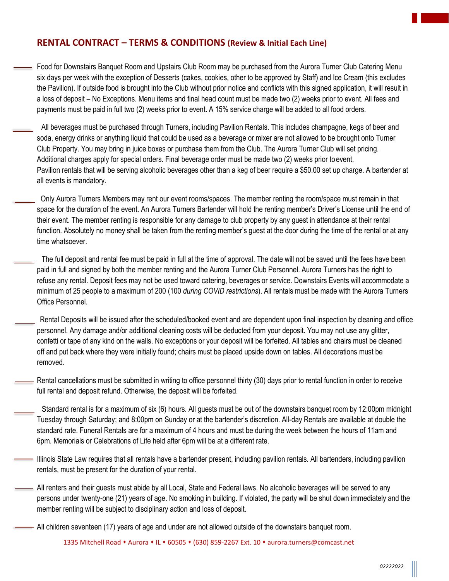#### **RENTAL CONTRACT – TERMS & CONDITIONS (Review & Initial Each Line)**

Food for Downstairs Banquet Room and Upstairs Club Room may be purchased from the Aurora Turner Club Catering Menu six days per week with the exception of Desserts (cakes, cookies, other to be approved by Staff) and Ice Cream (this excludes the Pavilion). If outside food is brought into the Club without prior notice and conflicts with this signed application, it will result in a loss of deposit – No Exceptions. Menu items and final head count must be made two (2) weeks prior to event. All fees and payments must be paid in full two (2) weeks prior to event. A 15% service charge will be added to all food orders.

All beverages must be purchased through Turners, including Pavilion Rentals. This includes champagne, kegs of beer and soda, energy drinks or anything liquid that could be used as a beverage or mixer are not allowed to be brought onto Turner Club Property. You may bring in juice boxes or purchase them from the Club. The Aurora Turner Club will set pricing. Additional charges apply for special orders. Final beverage order must be made two (2) weeks prior to event. Pavilion rentals that will be serving alcoholic beverages other than a keg of beer require a \$50.00 set up charge. A bartender at all events is mandatory.

Only Aurora Turners Members may rent our event rooms/spaces. The member renting the room/space must remain in that space for the duration of the event. An Aurora Turners Bartender will hold the renting member's Driver's License until the end of their event. The member renting is responsible for any damage to club property by any guest in attendance at their rental function. Absolutely no money shall be taken from the renting member's guest at the door during the time of the rental or at any time whatsoever.

The full deposit and rental fee must be paid in full at the time of approval. The date will not be saved until the fees have been paid in full and signed by both the member renting and the Aurora Turner Club Personnel. Aurora Turners has the right to refuse any rental. Deposit fees may not be used toward catering, beverages or service. Downstairs Events will accommodate a minimum of 25 people to a maximum of 200 (100 *during COVID restrictions*). All rentals must be made with the Aurora Turners Office Personnel.

Rental Deposits will be issued after the scheduled/booked event and are dependent upon final inspection by cleaning and office personnel. Any damage and/or additional cleaning costs will be deducted from your deposit. You may not use any glitter, confetti or tape of any kind on the walls. No exceptions or your deposit will be forfeited. All tables and chairs must be cleaned off and put back where they were initially found; chairs must be placed upside down on tables. All decorations must be removed.

Rental cancellations must be submitted in writing to office personnel thirty (30) days prior to rental function in order to receive full rental and deposit refund. Otherwise, the deposit will be forfeited.

Standard rental is for a maximum of six (6) hours. All guests must be out of the downstairs banquet room by 12:00pm midnight Tuesday through Saturday; and 8:00pm on Sunday or at the bartender's discretion. All-day Rentals are available at double the standard rate. Funeral Rentals are for a maximum of 4 hours and must be during the week between the hours of 11am and 6pm. Memorials or Celebrations of Life held after 6pm will be at a different rate.

Illinois State Law requires that all rentals have a bartender present, including pavilion rentals. All bartenders, including pavilion rentals, must be present for the duration of your rental.

All renters and their guests must abide by all Local, State and Federal laws. No alcoholic beverages will be served to any persons under twenty-one (21) years of age. No smoking in building. If violated, the party will be shut down immediately and the member renting will be subject to disciplinary action and loss of deposit.

All children seventeen (17) years of age and under are not allowed outside of the downstairs banquet room.

2